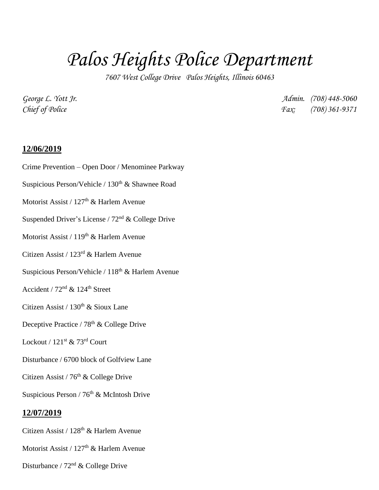## *Palos Heights Police Department*

*7607 West College Drive Palos Heights, Illinois 60463*

*George L. Yott Jr. Admin. (708) 448-5060 Chief of Police Fax: (708) 361-9371*

## **12/06/2019**

Crime Prevention – Open Door / Menominee Parkway Suspicious Person/Vehicle / 130<sup>th</sup> & Shawnee Road Motorist Assist / 127<sup>th</sup> & Harlem Avenue Suspended Driver's License /  $72<sup>nd</sup>$  & College Drive Motorist Assist / 119<sup>th</sup> & Harlem Avenue Citizen Assist / 123rd & Harlem Avenue Suspicious Person/Vehicle /  $118<sup>th</sup>$  & Harlem Avenue Accident /  $72<sup>nd</sup>$  &  $124<sup>th</sup>$  Street Citizen Assist /  $130<sup>th</sup>$  & Sioux Lane Deceptive Practice / 78<sup>th</sup> & College Drive Lockout /  $121^{st}$  & 73<sup>rd</sup> Court Disturbance / 6700 block of Golfview Lane Citizen Assist / 76<sup>th</sup> & College Drive Suspicious Person /  $76<sup>th</sup>$  & McIntosh Drive **12/07/2019** Citizen Assist / 128<sup>th</sup> & Harlem Avenue

Disturbance / 72nd & College Drive

Motorist Assist / 127<sup>th</sup> & Harlem Avenue